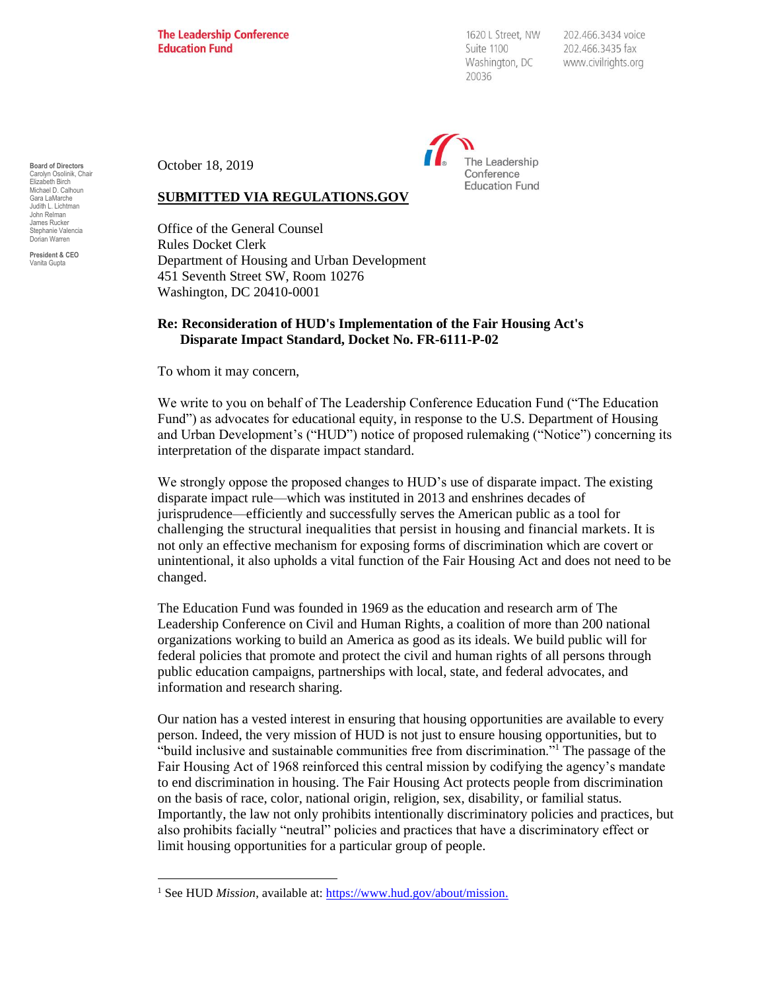**The Leadership Conference Education Fund** 

1620 L Street, NW Suite 1100 Washington, DC 20036

202.466.3434 voice 202.466.3435 fax www.civilrights.org



October 18, 2019

## **SUBMITTED VIA REGULATIONS.GOV**

Office of the General Counsel Rules Docket Clerk Department of Housing and Urban Development 451 Seventh Street SW, Room 10276 Washington, DC 20410-0001

## **Re: Reconsideration of HUD's Implementation of the Fair Housing Act's Disparate Impact Standard, Docket No. FR-6111-P-02**

To whom it may concern,

We write to you on behalf of The Leadership Conference Education Fund ("The Education Fund") as advocates for educational equity, in response to the U.S. Department of Housing and Urban Development's ("HUD") notice of proposed rulemaking ("Notice") concerning its interpretation of the disparate impact standard.

We strongly oppose the proposed changes to HUD's use of disparate impact. The existing disparate impact rule—which was instituted in 2013 and enshrines decades of jurisprudence—efficiently and successfully serves the American public as a tool for challenging the structural inequalities that persist in housing and financial markets. It is not only an effective mechanism for exposing forms of discrimination which are covert or unintentional, it also upholds a vital function of the Fair Housing Act and does not need to be changed.

The Education Fund was founded in 1969 as the education and research arm of The Leadership Conference on Civil and Human Rights, a coalition of more than 200 national organizations working to build an America as good as its ideals. We build public will for federal policies that promote and protect the civil and human rights of all persons through public education campaigns, partnerships with local, state, and federal advocates, and information and research sharing.

Our nation has a vested interest in ensuring that housing opportunities are available to every person. Indeed, the very mission of HUD is not just to ensure housing opportunities, but to "build inclusive and sustainable communities free from discrimination."<sup>1</sup> The passage of the Fair Housing Act of 1968 reinforced this central mission by codifying the agency's mandate to end discrimination in housing. The Fair Housing Act protects people from discrimination on the basis of race, color, national origin, religion, sex, disability, or familial status*.* Importantly, the law not only prohibits intentionally discriminatory policies and practices, but also prohibits facially "neutral" policies and practices that have a discriminatory effect or limit housing opportunities for a particular group of people.

**Board of Directors** Carolyn Osolinik, Chair Elizabeth Birch Michael D. Calhoun Gara LaMarche Judith L. Lichtman John Relman James Rucker ephanie Valencia Dorian Warren

**President & CEO** Vanita Gupta

<sup>&</sup>lt;sup>1</sup> See HUD *Mission*, available at: [https://www.hud.gov/about/mission.](https://www.hud.gov/about/mission)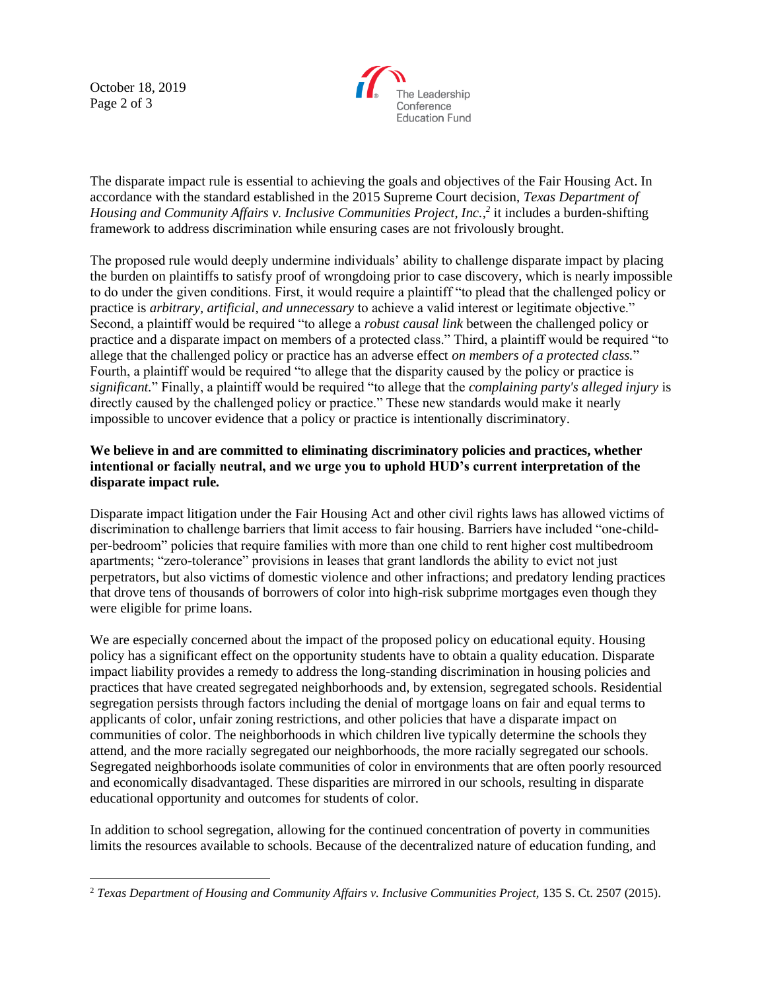October 18, 2019 Page 2 of 3



The disparate impact rule is essential to achieving the goals and objectives of the Fair Housing Act. In accordance with the standard established in the 2015 Supreme Court decision, *Texas Department of*  Housing and Community Affairs v. Inclusive Communities Project, Inc.,<sup>2</sup> it includes a burden-shifting framework to address discrimination while ensuring cases are not frivolously brought.

The proposed rule would deeply undermine individuals' ability to challenge disparate impact by placing the burden on plaintiffs to satisfy proof of wrongdoing prior to case discovery, which is nearly impossible to do under the given conditions. First, it would require a plaintiff "to plead that the challenged policy or practice is *arbitrary, artificial, and unnecessary* to achieve a valid interest or legitimate objective." Second, a plaintiff would be required "to allege a *robust causal link* between the challenged policy or practice and a disparate impact on members of a protected class." Third, a plaintiff would be required "to allege that the challenged policy or practice has an adverse effect *on members of a protected class.*" Fourth, a plaintiff would be required "to allege that the disparity caused by the policy or practice is *significant.*" Finally, a plaintiff would be required "to allege that the *complaining party's alleged injury* is directly caused by the challenged policy or practice." These new standards would make it nearly impossible to uncover evidence that a policy or practice is intentionally discriminatory.

## **We believe in and are committed to eliminating discriminatory policies and practices, whether intentional or facially neutral, and we urge you to uphold HUD's current interpretation of the disparate impact rule***.*

Disparate impact litigation under the Fair Housing Act and other civil rights laws has allowed victims of discrimination to challenge barriers that limit access to fair housing. Barriers have included "one-childper-bedroom" policies that require families with more than one child to rent higher cost multibedroom apartments; "zero-tolerance" provisions in leases that grant landlords the ability to evict not just perpetrators, but also victims of domestic violence and other infractions; and predatory lending practices that drove tens of thousands of borrowers of color into high-risk subprime mortgages even though they were eligible for prime loans.

We are especially concerned about the impact of the proposed policy on educational equity. Housing policy has a significant effect on the opportunity students have to obtain a quality education. Disparate impact liability provides a remedy to address the long-standing discrimination in housing policies and practices that have created segregated neighborhoods and, by extension, segregated schools. Residential segregation persists through factors including the denial of mortgage loans on fair and equal terms to applicants of color, unfair zoning restrictions, and other policies that have a disparate impact on communities of color. The neighborhoods in which children live typically determine the schools they attend, and the more racially segregated our neighborhoods, the more racially segregated our schools. Segregated neighborhoods isolate communities of color in environments that are often poorly resourced and economically disadvantaged. These disparities are mirrored in our schools, resulting in disparate educational opportunity and outcomes for students of color.

In addition to school segregation, allowing for the continued concentration of poverty in communities limits the resources available to schools. Because of the decentralized nature of education funding, and

<sup>2</sup> *Texas Department of Housing and Community Affairs v. Inclusive Communities Project,* 135 S. Ct. 2507 (2015).